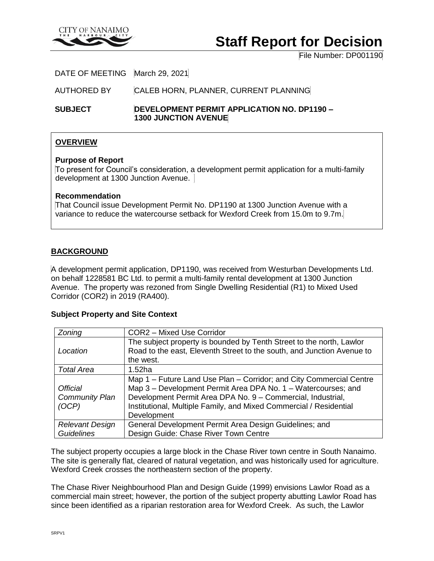

# **Staff Report for Decision**

File Number: DP001190

DATE OF MEETING March 29, 2021

AUTHORED BY CALEB HORN, PLANNER, CURRENT PLANNING

**SUBJECT DEVELOPMENT PERMIT APPLICATION NO. DP1190 – 1300 JUNCTION AVENUE**

# **OVERVIEW**

#### **Purpose of Report**

To present for Council's consideration, a development permit application for a multi-family development at 1300 Junction Avenue.

#### **Recommendation**

That Council issue Development Permit No. DP1190 at 1300 Junction Avenue with a variance to reduce the watercourse setback for Wexford Creek from 15.0m to 9.7m.

## **BACKGROUND**

A development permit application, DP1190, was received from Westurban Developments Ltd. on behalf 1228581 BC Ltd. to permit a multi-family rental development at 1300 Junction Avenue. The property was rezoned from Single Dwelling Residential (R1) to Mixed Used Corridor (COR2) in 2019 (RA400).

#### **Subject Property and Site Context**

| Zoning                 | <b>COR2 - Mixed Use Corridor</b>                                       |  |
|------------------------|------------------------------------------------------------------------|--|
|                        | The subject property is bounded by Tenth Street to the north, Lawlor   |  |
| Location               | Road to the east, Eleventh Street to the south, and Junction Avenue to |  |
|                        | the west.                                                              |  |
| <b>Total Area</b>      | 1.52ha                                                                 |  |
|                        | Map 1 – Future Land Use Plan – Corridor; and City Commercial Centre    |  |
| <b>Official</b>        | Map 3 - Development Permit Area DPA No. 1 - Watercourses; and          |  |
| <b>Community Plan</b>  | Development Permit Area DPA No. 9 - Commercial, Industrial,            |  |
| (OCP)                  | Institutional, Multiple Family, and Mixed Commercial / Residential     |  |
|                        | Development                                                            |  |
| <b>Relevant Design</b> | General Development Permit Area Design Guidelines; and                 |  |
| <b>Guidelines</b>      | Design Guide: Chase River Town Centre                                  |  |

The subject property occupies a large block in the Chase River town centre in South Nanaimo. The site is generally flat, cleared of natural vegetation, and was historically used for agriculture. Wexford Creek crosses the northeastern section of the property.

The Chase River Neighbourhood Plan and Design Guide (1999) envisions Lawlor Road as a commercial main street; however, the portion of the subject property abutting Lawlor Road has since been identified as a riparian restoration area for Wexford Creek. As such, the Lawlor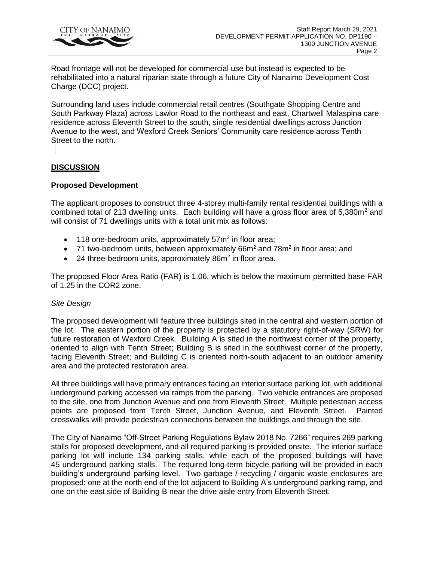

Road frontage will not be developed for commercial use but instead is expected to be rehabilitated into a natural riparian state through a future City of Nanaimo Development Cost Charge (DCC) project.

Surrounding land uses include commercial retail centres (Southgate Shopping Centre and South Parkway Plaza) across Lawlor Road to the northeast and east, Chartwell Malaspina care residence across Eleventh Street to the south, single residential dwellings across Junction Avenue to the west, and Wexford Creek Seniors' Community care residence across Tenth Street to the north.

# **DISCUSSION**

# **Proposed Development**

The applicant proposes to construct three 4-storey multi-family rental residential buildings with a combined total of 213 dwelling units. Each building will have a gross floor area of  $5,380m^2$  and will consist of 71 dwellings units with a total unit mix as follows:

- $\bullet$  118 one-bedroom units, approximately 57 $m<sup>2</sup>$  in floor area;
- 71 two-bedroom units, between approximately  $66m^2$  and  $78m^2$  in floor area; and
- $\bullet$  24 three-bedroom units, approximately 86m<sup>2</sup> in floor area.

The proposed Floor Area Ratio (FAR) is 1.06, which is below the maximum permitted base FAR of 1.25 in the COR2 zone.

#### *Site Design*

The proposed development will feature three buildings sited in the central and western portion of the lot. The eastern portion of the property is protected by a statutory right-of-way (SRW) for future restoration of Wexford Creek. Building A is sited in the northwest corner of the property, oriented to align with Tenth Street; Building B is sited in the southwest corner of the property, facing Eleventh Street; and Building C is oriented north-south adjacent to an outdoor amenity area and the protected restoration area.

All three buildings will have primary entrances facing an interior surface parking lot, with additional underground parking accessed via ramps from the parking. Two vehicle entrances are proposed to the site, one from Junction Avenue and one from Eleventh Street. Multiple pedestrian access points are proposed from Tenth Street, Junction Avenue, and Eleventh Street. Painted crosswalks will provide pedestrian connections between the buildings and through the site.

The City of Nanaimo "Off-Street Parking Regulations Bylaw 2018 No. 7266" requires 269 parking stalls for proposed development, and all required parking is provided onsite. The interior surface parking lot will include 134 parking stalls, while each of the proposed buildings will have 45 underground parking stalls. The required long-term bicycle parking will be provided in each building's underground parking level. Two garbage / recycling / organic waste enclosures are proposed: one at the north end of the lot adjacent to Building A's underground parking ramp, and one on the east side of Building B near the drive aisle entry from Eleventh Street.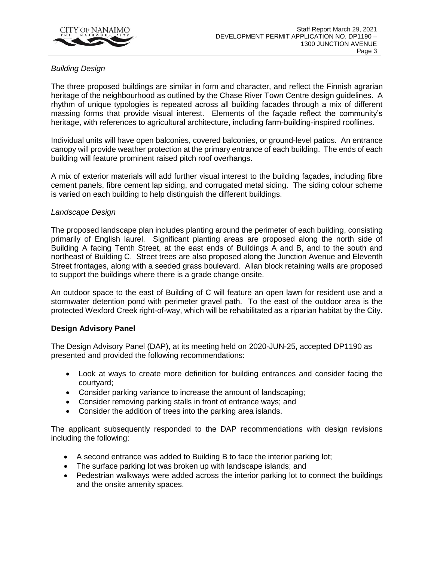

# *Building Design*

The three proposed buildings are similar in form and character, and reflect the Finnish agrarian heritage of the neighbourhood as outlined by the Chase River Town Centre design guidelines. A rhythm of unique typologies is repeated across all building facades through a mix of different massing forms that provide visual interest. Elements of the façade reflect the community's heritage, with references to agricultural architecture, including farm-building-inspired rooflines.

Individual units will have open balconies, covered balconies, or ground-level patios. An entrance canopy will provide weather protection at the primary entrance of each building. The ends of each building will feature prominent raised pitch roof overhangs.

A mix of exterior materials will add further visual interest to the building façades, including fibre cement panels, fibre cement lap siding, and corrugated metal siding. The siding colour scheme is varied on each building to help distinguish the different buildings.

#### *Landscape Design*

The proposed landscape plan includes planting around the perimeter of each building, consisting primarily of English laurel. Significant planting areas are proposed along the north side of Building A facing Tenth Street, at the east ends of Buildings A and B, and to the south and northeast of Building C. Street trees are also proposed along the Junction Avenue and Eleventh Street frontages, along with a seeded grass boulevard. Allan block retaining walls are proposed to support the buildings where there is a grade change onsite.

An outdoor space to the east of Building of C will feature an open lawn for resident use and a stormwater detention pond with perimeter gravel path. To the east of the outdoor area is the protected Wexford Creek right-of-way, which will be rehabilitated as a riparian habitat by the City.

#### **Design Advisory Panel**

The Design Advisory Panel (DAP), at its meeting held on 2020-JUN-25, accepted DP1190 as presented and provided the following recommendations:

- Look at ways to create more definition for building entrances and consider facing the courtyard;
- Consider parking variance to increase the amount of landscaping;
- Consider removing parking stalls in front of entrance ways; and
- Consider the addition of trees into the parking area islands.

The applicant subsequently responded to the DAP recommendations with design revisions including the following:

- A second entrance was added to Building B to face the interior parking lot;
- The surface parking lot was broken up with landscape islands; and
- Pedestrian walkways were added across the interior parking lot to connect the buildings and the onsite amenity spaces.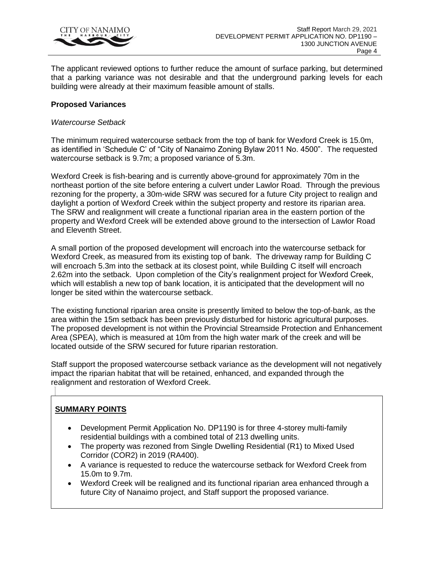

The applicant reviewed options to further reduce the amount of surface parking, but determined that a parking variance was not desirable and that the underground parking levels for each building were already at their maximum feasible amount of stalls.

### **Proposed Variances**

#### *Watercourse Setback*

The minimum required watercourse setback from the top of bank for Wexford Creek is 15.0m, as identified in 'Schedule C' of "City of Nanaimo Zoning Bylaw 2011 No. 4500". The requested watercourse setback is 9.7m; a proposed variance of 5.3m.

Wexford Creek is fish-bearing and is currently above-ground for approximately 70m in the northeast portion of the site before entering a culvert under Lawlor Road. Through the previous rezoning for the property, a 30m-wide SRW was secured for a future City project to realign and daylight a portion of Wexford Creek within the subject property and restore its riparian area. The SRW and realignment will create a functional riparian area in the eastern portion of the property and Wexford Creek will be extended above ground to the intersection of Lawlor Road and Eleventh Street.

A small portion of the proposed development will encroach into the watercourse setback for Wexford Creek, as measured from its existing top of bank. The driveway ramp for Building C will encroach 5.3m into the setback at its closest point, while Building C itself will encroach 2.62m into the setback. Upon completion of the City's realignment project for Wexford Creek, which will establish a new top of bank location, it is anticipated that the development will no longer be sited within the watercourse setback.

The existing functional riparian area onsite is presently limited to below the top-of-bank, as the area within the 15m setback has been previously disturbed for historic agricultural purposes. The proposed development is not within the Provincial Streamside Protection and Enhancement Area (SPEA), which is measured at 10m from the high water mark of the creek and will be located outside of the SRW secured for future riparian restoration.

Staff support the proposed watercourse setback variance as the development will not negatively impact the riparian habitat that will be retained, enhanced, and expanded through the realignment and restoration of Wexford Creek.

# **SUMMARY POINTS**

- Development Permit Application No. DP1190 is for three 4-storey multi-family residential buildings with a combined total of 213 dwelling units.
- The property was rezoned from Single Dwelling Residential (R1) to Mixed Used Corridor (COR2) in 2019 (RA400).
- A variance is requested to reduce the watercourse setback for Wexford Creek from 15.0m to 9.7m.
- Wexford Creek will be realigned and its functional riparian area enhanced through a future City of Nanaimo project, and Staff support the proposed variance.